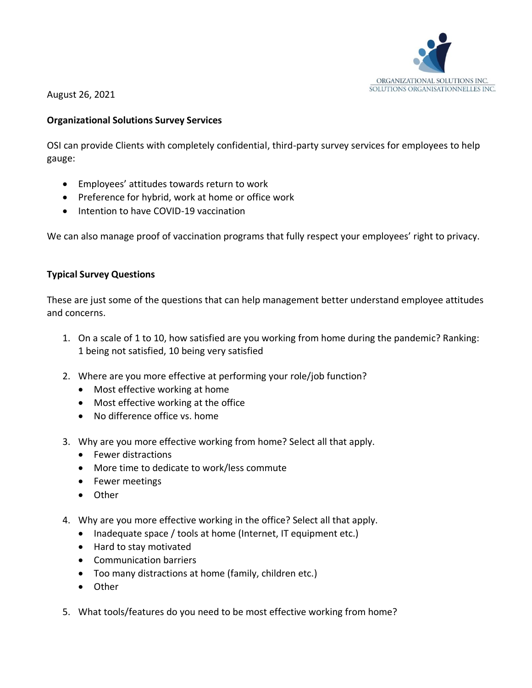

August 26, 2021

### **Organizational Solutions Survey Services**

OSI can provide Clients with completely confidential, third-party survey services for employees to help gauge:

- Employees' attitudes towards return to work
- Preference for hybrid, work at home or office work
- Intention to have COVID-19 vaccination

We can also manage proof of vaccination programs that fully respect your employees' right to privacy.

### **Typical Survey Questions**

These are just some of the questions that can help management better understand employee attitudes and concerns.

- 1. On a scale of 1 to 10, how satisfied are you working from home during the pandemic? Ranking: 1 being not satisfied, 10 being very satisfied
- 2. Where are you more effective at performing your role/job function?
	- Most effective working at home
	- Most effective working at the office
	- No difference office vs. home
- 3. Why are you more effective working from home? Select all that apply.
	- Fewer distractions
	- More time to dedicate to work/less commute
	- Fewer meetings
	- Other
- 4. Why are you more effective working in the office? Select all that apply.
	- Inadequate space / tools at home (Internet, IT equipment etc.)
	- Hard to stay motivated
	- Communication barriers
	- Too many distractions at home (family, children etc.)
	- Other
- 5. What tools/features do you need to be most effective working from home?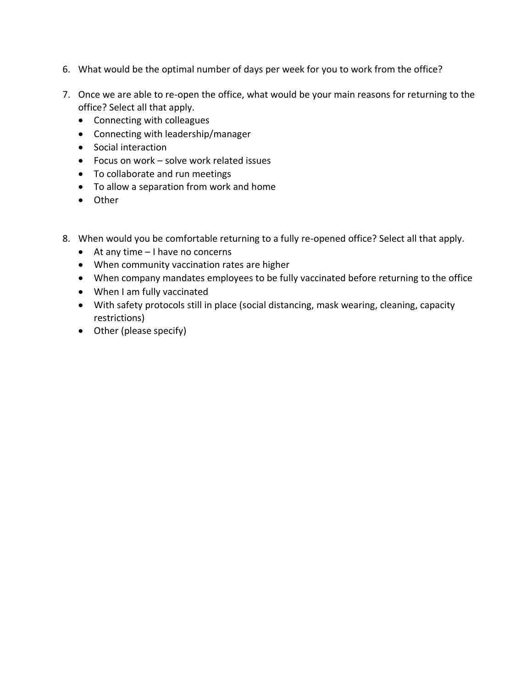- 6. What would be the optimal number of days per week for you to work from the office?
- 7. Once we are able to re-open the office, what would be your main reasons for returning to the office? Select all that apply.
	- Connecting with colleagues
	- Connecting with leadership/manager
	- Social interaction
	- Focus on work solve work related issues
	- To collaborate and run meetings
	- To allow a separation from work and home
	- Other
- 8. When would you be comfortable returning to a fully re-opened office? Select all that apply.
	- At any time I have no concerns
	- When community vaccination rates are higher
	- When company mandates employees to be fully vaccinated before returning to the office
	- When I am fully vaccinated
	- With safety protocols still in place (social distancing, mask wearing, cleaning, capacity restrictions)
	- Other (please specify)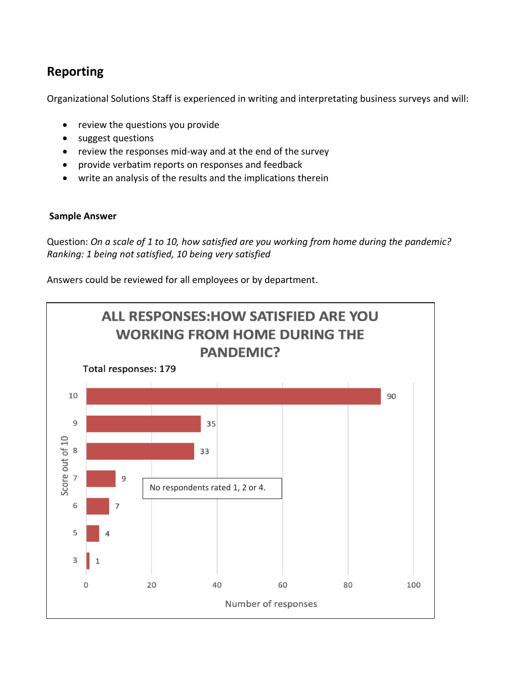# **Reporting**

Organizational Solutions Staff is experienced in writing and interpretating business surveys and will:

- review the questions you provide
- suggest questions
- review the responses mid-way and at the end of the survey
- provide verbatim reports on responses and feedback
- write an analysis of the results and the implications therein

#### **Sample Answer**

Question: *On a scale of 1 to 10, how satisfied are you working from home during the pandemic? Ranking: 1 being not satisfied, 10 being very satisfied*

Answers could be reviewed for all employees or by department.

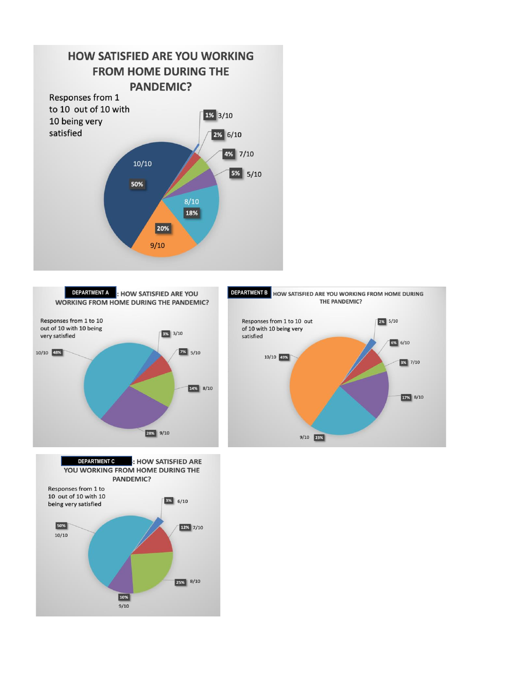